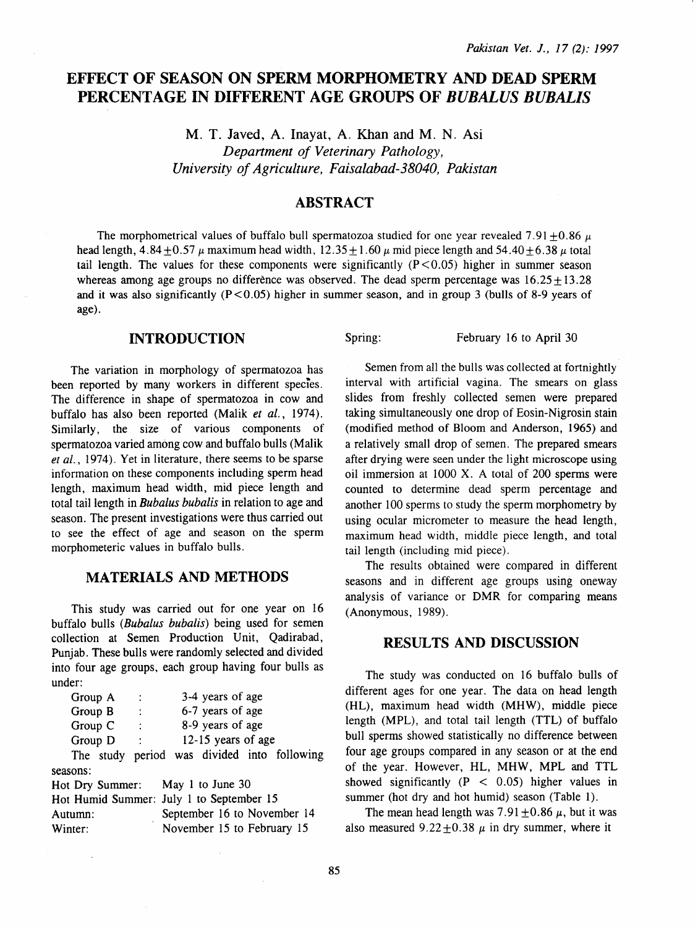# **EFFECT OF SEASON ON SPERM MORPHOMETRY AND DEAD SPERM PERCENTAGE IN DIFFERENT AGE GROUPS OF** *BUBALUS BUBALIS*

M. T. Javed, A. lnayat, A. Khan and M. N. Asi *Department of Veterinary Pathology, University of Agriculture, Faisalabad-38040, Pakistan* 

## **ABSTRACT**

The morphometrical values of buffalo bull spermatozoa studied for one year revealed 7.91 +0.86  $\mu$ head length,  $4.84 + 0.57 \mu$  maximum head width,  $12.35 + 1.60 \mu$  mid piece length and  $54.40 + 6.38 \mu$  total tail length. The values for these components were significantly  $(P<0.05)$  higher in summer season whereas among age groups no difference was observed. The dead sperm percentage was  $16.25 + 13.28$ and it was also significantly  $(P<0.05)$  higher in summer season, and in group 3 (bulls of 8-9 years of age).

#### **INTRODUCTION**

The variation in morphology of spermatozoa has been reported by many workers in different species. The difference in shape of spermatozoa in cow and buffalo has also been reported (Malik *et al.*, 1974). Similarly, the size of various components of spermatozoa varied among cow and buffalo bulls (Malik *et al.,* 1974). Yet in literature, there seems to be sparse information on these components including sperm head length, maximum head width, mid piece length and total tail length in *Bubalus bubalis* in relation to age and season. The present investigations were thus carried out to see the effect of age and season on the sperm morphometeric values in buffalo bulls.

## **MATERIALS AND METHODS**

This study was carried out for one year on 16 buffalo bulls *(Bubalus bubalis)* being used for semen collection at Semen Production Unit, Qadirabad, Punjab. These bulls were randomly selected and divided into four age groups, each group having four bulls as under:

| Group A  | ÷                    | 3-4 years of age   |                                             |
|----------|----------------------|--------------------|---------------------------------------------|
| Group B  | ÷                    | 6-7 years of age   |                                             |
| Group C  | $\ddot{\phantom{a}}$ | 8-9 years of age   |                                             |
| Group D  | ÷                    | 12-15 years of age |                                             |
|          |                      |                    | The study period was divided into following |
| seasons: |                      |                    |                                             |

Hot Dry Summer: May 1 to June 30 Hot Humid Summer: July 1 to September 15 Autumn: September 16 to November 14 Winter: November 15 to February 15

Spring: February 16 to April 30

Semen from all the bulls was collected at fortnightly interval with artificial vagina. The smears on glass slides from freshly collected semen were prepared taking simultaneously one drop of Eosin-Nigrosin stain (modified method of Bloom and Anderson, 1965) and a relatively small drop of semen. The prepared smears after drying were seen under the light microscope using oil immersion at 1000 X. A total of 200 sperms were counted to determine dead sperm percentage and another 100 sperms to study the sperm morphometry by using ocular micrometer to measure the head length, maximum head width, middle piece length, and total tail length (including mid piece).

The results obtained were compared in different seasons and in different age groups using oneway analysis of variance or DMR for comparing means (Anonymous, 1989).

#### **RESULTS AND DISCUSSION**

The study was conducted on 16 buffalo bulls of different ages for one year. The data on head length (HL), maximum head width (MHW), middle piece length (MPL), and total tail length (TTL) of buffalo bull sperms showed statistically no difference between four age groups compared in any season or at the end of the year. However, HL, MHW, MPL and TTL showed significantly  $(P < 0.05)$  higher values in summer (hot dry and hot humid) season (Table 1).

The mean head length was  $7.91 \pm 0.86 \mu$ , but it was also measured  $9.22 \pm 0.38$   $\mu$  in dry summer, where it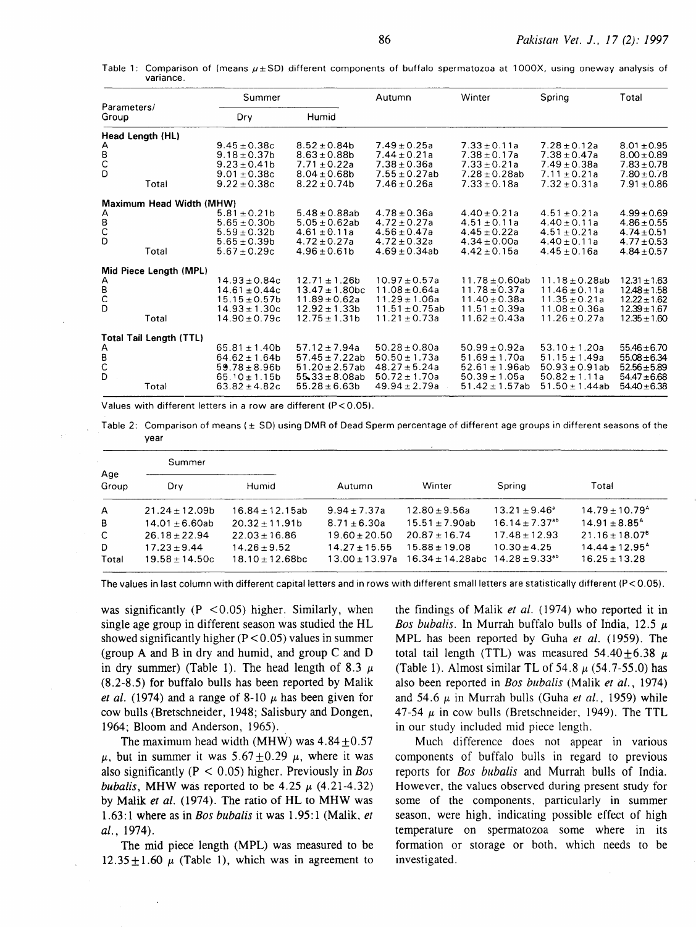Table 1: Comparison of (means  $\mu \pm SD$ ) different components of buffalo spermatozoa at 1000X, using oneway analysis of variance.

|                      |                                   | Summer                                                                                                 |                                                                                                            | Autumn                                                                                                | Winter                                                                                                    | Spring                                                                                                    | Total                                                                                            |
|----------------------|-----------------------------------|--------------------------------------------------------------------------------------------------------|------------------------------------------------------------------------------------------------------------|-------------------------------------------------------------------------------------------------------|-----------------------------------------------------------------------------------------------------------|-----------------------------------------------------------------------------------------------------------|--------------------------------------------------------------------------------------------------|
| Parameters/<br>Group |                                   | Dry                                                                                                    | Humid                                                                                                      |                                                                                                       |                                                                                                           |                                                                                                           |                                                                                                  |
| Head Length (HL)     |                                   |                                                                                                        |                                                                                                            |                                                                                                       |                                                                                                           |                                                                                                           |                                                                                                  |
| A<br>B<br>C<br>D     | Total                             | $9.45 \pm 0.38c$<br>$9.18 \pm 0.37$ b<br>$9.23 \pm 0.41$<br>$9.01 \pm 0.38c$<br>$9.22 \pm 0.38c$       | $8.52 \pm 0.84$ b<br>$8.63 \pm 0.88$ b<br>$7.71 \pm 0.22a$<br>$8.04 \pm 0.68$ b<br>$8.22 \pm 0.74$         | $7.49 \pm 0.25a$<br>$7.44 \pm 0.21a$<br>$7.38 \pm 0.36a$<br>$7.55 \pm 0.27ab$<br>$7.46 \pm 0.26a$     | $7.33 \pm 0.11a$<br>$7.38 \pm 0.17a$<br>$7.33 \pm 0.21a$<br>$7.28 \pm 0.28$ ab<br>$7.33 \pm 0.18a$        | $7.28 \pm 0.12a$<br>$7.38 \pm 0.47a$<br>$7.49 \pm 0.38a$<br>$7.11 \pm 0.21a$<br>$7.32 \pm 0.31a$          | $8.01 \pm 0.95$<br>$8.00 \pm 0.89$<br>$7.83 \pm 0.78$<br>$7.80 \pm 0.78$<br>$7.91 \pm 0.86$      |
|                      |                                   |                                                                                                        |                                                                                                            |                                                                                                       |                                                                                                           |                                                                                                           |                                                                                                  |
| A<br>B<br>C<br>D     | Maximum Head Width (MHW)<br>Total | $5.81 \pm 0.21$ b<br>$5.65 \pm 0.30b$<br>$5.59 \pm 0.32$ b<br>$5.65 \pm 0.39b$<br>$5.67 \pm 0.29c$     | $5.48 \pm 0.88$ ab<br>$5.05 \pm 0.62$ ab<br>$4.61 \pm 0.11a$<br>$4.72 \pm 0.27a$<br>$4.96 \pm 0.61$        | $4.78 \pm 0.36a$<br>$4.72 \pm 0.27a$<br>$4.56 \pm 0.47a$<br>$4.72 \pm 0.32a$<br>$4.69 \pm 0.34$ ab    | $4.40 \pm 0.21a$<br>$4.51 \pm 0.11a$<br>$4.45 \pm 0.22a$<br>$4.34 \pm 0.00a$<br>$4.42 \pm 0.15a$          | $4.51 \pm 0.21a$<br>$4.40 \pm 0.11a$<br>$4.51 \pm 0.21a$<br>$4.40 \pm 0.11a$<br>$4.45 \pm 0.16a$          | $4.99 \pm 0.69$<br>$4.86 \pm 0.55$<br>$4.74 \pm 0.51$<br>$4.77 \pm 0.53$<br>$4.84 \pm 0.57$      |
|                      | Mid Piece Length (MPL)            |                                                                                                        |                                                                                                            |                                                                                                       |                                                                                                           |                                                                                                           |                                                                                                  |
| A<br>B<br>C<br>D     | Total                             | $14.93 \pm 0.84c$<br>$14.61 \pm 0.44c$<br>$15.15 \pm 0.57$ b<br>$14.93 \pm 1.30c$<br>$14.90 \pm 0.79c$ | $12.71 \pm 1.26b$<br>$13.47 + 1.80$ hc<br>$11.89 \pm 0.62a$<br>$12.92 \pm 1.33b$<br>$12.75 \pm 1.31b$      | $10.97 \pm 0.57a$<br>$11.08 + 0.64a$<br>$11.29 \pm 1.06a$<br>$11.51 \pm 0.75$ ab<br>$11.21 \pm 0.73a$ | $11.78 \pm 0.60$ ab<br>$11.78 + 0.37a$<br>$11.40 \pm 0.38a$<br>$11.51 \pm 0.39a$<br>$11.62 \pm 0.43a$     | $11.18 \pm 0.28$ ab<br>$11.46 + 0.11a$<br>$11.35 \pm 0.21a$<br>$11.08 \pm 0.36a$<br>$11.26 \pm 0.27a$     | $12.31 \pm 1.63$<br>$12.48 \pm 1.58$<br>$12.22 \pm 1.62$<br>$12.39 \pm 1.67$<br>$12.35 \pm 1.60$ |
|                      | Total Tail Length (TTL)           |                                                                                                        |                                                                                                            |                                                                                                       |                                                                                                           |                                                                                                           |                                                                                                  |
| A<br>B<br>C<br>D     | Total                             | $65.81 \pm 1.40$<br>$64.62 \pm 1.64b$<br>$59.78 \pm 8.96b$<br>$65.10 \pm 1.15b$<br>$63.82 + 4.82c$     | $57.12 \pm 7.94a$<br>$57.45 \pm 7.22$ ab<br>$51.20 \pm 2.57$ ab<br>$55.33 \pm 8.08ab$<br>$55.28 \pm 6.63b$ | $50.28 \pm 0.80a$<br>$50.50 \pm 1.73a$<br>$48.27 \pm 5.24a$<br>$50.72 \pm 1.70a$<br>$49.94 \pm 2.79a$ | $50.99 \pm 0.92a$<br>$51.69 \pm 1.70a$<br>$52.61 \pm 1.96$ ab<br>$50.39 \pm 1.05a$<br>$51.42 \pm 1.57$ ab | $53.10 \pm 1.20a$<br>$51.15 \pm 1.49a$<br>$50.93 \pm 0.91$ ab<br>$50.82 \pm 1.11a$<br>$51.50 \pm 1.44$ ab | $55.46 \pm 6.70$<br>$55.08 \pm 6.34$<br>$52.56 \pm 5.89$<br>$54.47 \pm 6.68$<br>$54.40 \pm 6.38$ |

Values with different letters in a row are different (P < 0.05).

Table 2: Comparison of means ( $\pm$  SD) using DMR of Dead Sperm percentage of different age groups in different seasons of the year

|              | Summer             |                      |                  |                                                      |                              |                                |
|--------------|--------------------|----------------------|------------------|------------------------------------------------------|------------------------------|--------------------------------|
| Age<br>Group | Drv                | Humid                | Autumn           | Winter                                               | Spring                       | Total                          |
| $\mathsf{A}$ | $21.24 \pm 12.09b$ | $16.84 + 12.15ab$    | $9.94 \pm 7.37a$ | $12.80 \pm 9.56a$                                    | $13.21 \pm 9.46^{\circ}$     | $14.79 \pm 10.79$ <sup>A</sup> |
| B            | $14.01 + 6.60ab$   | $20.32 + 11.91b$     | $8.71 \pm 6.30a$ | $15.51 \pm 7.90ab$                                   | $16.14 + 7.37$ <sup>th</sup> | $14.91 + 8.85^{\circ}$         |
| $\mathsf{C}$ | $26.18 + 22.94$    | $22.03 + 16.86$      | $19.60 + 20.50$  | $20.87 \pm 16.74$                                    | $17.48 \pm 12.93$            | $21.16 \pm 18.07$ <sup>8</sup> |
| D            | $17.23 \pm 9.44$   | $14.26 \pm 9.52$     | $14.27 + 15.55$  | $15.88 \pm 19.08$                                    | $10.30 \pm 4.25$             | $14.44 \pm 12.95$ <sup>A</sup> |
| Total        | $19.58 \pm 14.50c$ | $18.10 \pm 12.68$ bc | $13.00 + 13.97a$ | $16.34 \pm 14.28$ abc $14.28 \pm 9.33$ <sup>ab</sup> |                              | $16.25 \pm 13.28$              |

The values in last column with different capital letters and in rows with different small letters are statistically different (P < 0.05).

was significantly  $(P \le 0.05)$  higher. Similarly, when single age group in different season was studied the HL showed significantly higher  $(P < 0.05)$  values in summer (group A and Bin dry and humid, and group C and D in dry summer) (Table 1). The head length of 8.3  $\mu$ (8.2-8.5) for buffalo bulls has been reported by Malik *et al.* (1974) and a range of 8-10  $\mu$  has been given for cow bulls (Bretschneider, 1948; Salisbury and Dongen, 1964; Bloom and Anderson, 1965).

The maximum head width (MHW) was  $4.84 \pm 0.57$  $\mu$ , but in summer it was  $5.67 \pm 0.29$   $\mu$ , where it was also significantly (P < 0.05) higher. Previously in *Bos bubalis,* MHW was reported to be 4.25  $\mu$  (4.21-4.32) by Malik *et al.* (1974). The ratio of HL to MHW was 1.63:1 where as in *Bos bubalis* it was 1.95:1 (Malik, *et al.,* 1974).

The mid piece length (MPL) was measured to be  $12.35 \pm 1.60 \mu$  (Table 1), which was in agreement to

the findings of Malik *et al.* (1974) who reported it in *Bos bubalis.* In Murrah buffalo bulls of India,  $12.5 \mu$ MPL has been reported by Guha *et al.* (1959). The total tail length (TTL) was measured  $54.40 \pm 6.38 \mu$ (Table 1). Almost similar TL of 54.8  $\mu$  (54.7-55.0) has also been reported in *Bos bubalis* (Malik *et al.,* 1974) and 54.6  $\mu$  in Murrah bulls (Guha *et al.*, 1959) while 47-54  $\mu$  in cow bulls (Bretschneider, 1949). The TTL in our study included mid piece length.

Much difference does not appear in various components of buffalo bulls in regard to previous reports for *Bos bubalis* and Murrah bulls of India. However, the values observed during present study for some of the components, particularly in summer season. were high, indicating possible effect of high temperature on spermatozoa some where in its formation or storage or both. which needs to be investigated.